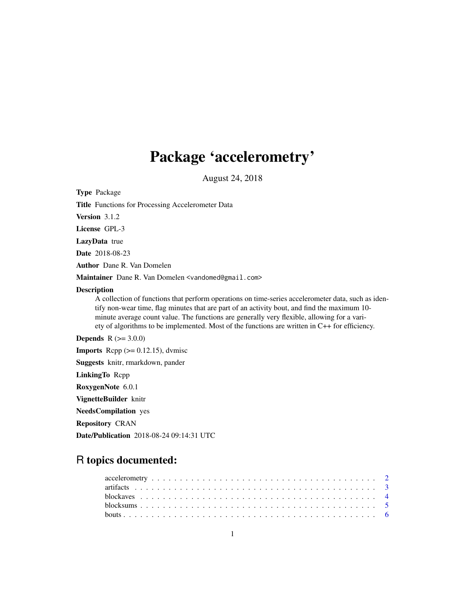# Package 'accelerometry'

August 24, 2018

<span id="page-0-0"></span>Type Package

Title Functions for Processing Accelerometer Data

Version 3.1.2

License GPL-3

LazyData true

Date 2018-08-23

Author Dane R. Van Domelen

Maintainer Dane R. Van Domelen <vandomed@gmail.com>

#### Description

A collection of functions that perform operations on time-series accelerometer data, such as identify non-wear time, flag minutes that are part of an activity bout, and find the maximum 10 minute average count value. The functions are generally very flexible, allowing for a variety of algorithms to be implemented. Most of the functions are written in C++ for efficiency.

**Depends**  $R (= 3.0.0)$ 

**Imports** Rcpp  $(>= 0.12.15)$ , dvmisc

Suggests knitr, rmarkdown, pander

LinkingTo Rcpp

RoxygenNote 6.0.1

VignetteBuilder knitr

NeedsCompilation yes

Repository CRAN

Date/Publication 2018-08-24 09:14:31 UTC

# R topics documented: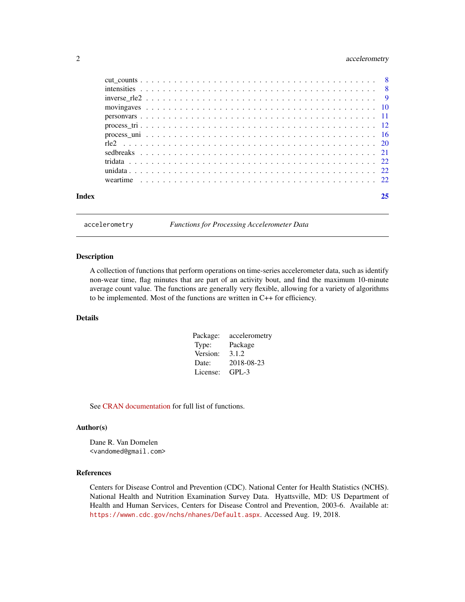# <span id="page-1-0"></span>2 accelerometry

| Index | 25 |
|-------|----|

accelerometry *Functions for Processing Accelerometer Data*

#### Description

A collection of functions that perform operations on time-series accelerometer data, such as identify non-wear time, flag minutes that are part of an activity bout, and find the maximum 10-minute average count value. The functions are generally very flexible, allowing for a variety of algorithms to be implemented. Most of the functions are written in C++ for efficiency.

# Details

| Package: | accelerometry |
|----------|---------------|
| Type:    | Package       |
| Version: | 3.1.2         |
| Date:    | 2018-08-23    |
| License: | GPL-3         |

See [CRAN documentation](https://cran.r-project.org/package=accelerometry) for full list of functions.

#### Author(s)

Dane R. Van Domelen <vandomed@gmail.com>

#### References

Centers for Disease Control and Prevention (CDC). National Center for Health Statistics (NCHS). National Health and Nutrition Examination Survey Data. Hyattsville, MD: US Department of Health and Human Services, Centers for Disease Control and Prevention, 2003-6. Available at: <https://wwwn.cdc.gov/nchs/nhanes/Default.aspx>. Accessed Aug. 19, 2018.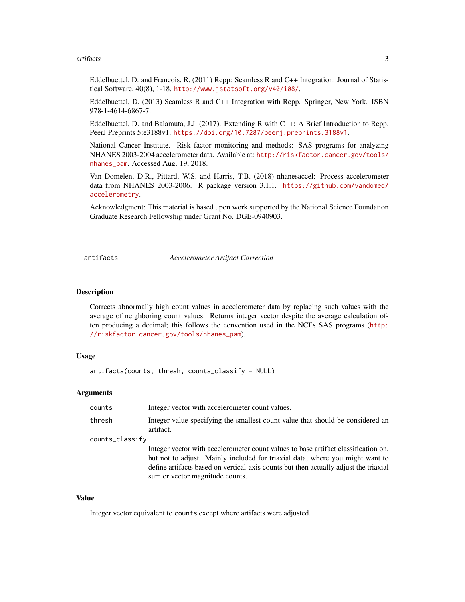#### <span id="page-2-0"></span>artifacts 3

Eddelbuettel, D. and Francois, R. (2011) Rcpp: Seamless R and C++ Integration. Journal of Statistical Software, 40(8), 1-18. <http://www.jstatsoft.org/v40/i08/>.

Eddelbuettel, D. (2013) Seamless R and C++ Integration with Rcpp. Springer, New York. ISBN 978-1-4614-6867-7.

Eddelbuettel, D. and Balamuta, J.J. (2017). Extending R with C++: A Brief Introduction to Rcpp. PeerJ Preprints 5:e3188v1. <https://doi.org/10.7287/peerj.preprints.3188v1>.

National Cancer Institute. Risk factor monitoring and methods: SAS programs for analyzing NHANES 2003-2004 accelerometer data. Available at: [http://riskfactor.cancer.gov/tools/](http://riskfactor.cancer.gov/tools/nhanes_pam) [nhanes\\_pam](http://riskfactor.cancer.gov/tools/nhanes_pam). Accessed Aug. 19, 2018.

Van Domelen, D.R., Pittard, W.S. and Harris, T.B. (2018) nhanesaccel: Process accelerometer data from NHANES 2003-2006. R package version 3.1.1. [https://github.com/vandomed/](https://github.com/vandomed/accelerometry) [accelerometry](https://github.com/vandomed/accelerometry).

Acknowledgment: This material is based upon work supported by the National Science Foundation Graduate Research Fellowship under Grant No. DGE-0940903.

artifacts *Accelerometer Artifact Correction*

#### Description

Corrects abnormally high count values in accelerometer data by replacing such values with the average of neighboring count values. Returns integer vector despite the average calculation often producing a decimal; this follows the convention used in the NCI's SAS programs ([http:](http://riskfactor.cancer.gov/tools/nhanes_pam) [//riskfactor.cancer.gov/tools/nhanes\\_pam](http://riskfactor.cancer.gov/tools/nhanes_pam)).

#### Usage

artifacts(counts, thresh, counts\_classify = NULL)

#### Arguments

| counts          | Integer vector with accelerometer count values.                                                                                                                                                                                                                                                |
|-----------------|------------------------------------------------------------------------------------------------------------------------------------------------------------------------------------------------------------------------------------------------------------------------------------------------|
| thresh          | Integer value specifying the smallest count value that should be considered an<br>artifact.                                                                                                                                                                                                    |
| counts_classify |                                                                                                                                                                                                                                                                                                |
|                 | Integer vector with accelerometer count values to base artifact classification on,<br>but not to adjust. Mainly included for triaxial data, where you might want to<br>define artifacts based on vertical-axis counts but then actually adjust the triaxial<br>sum or vector magnitude counts. |

# Value

Integer vector equivalent to counts except where artifacts were adjusted.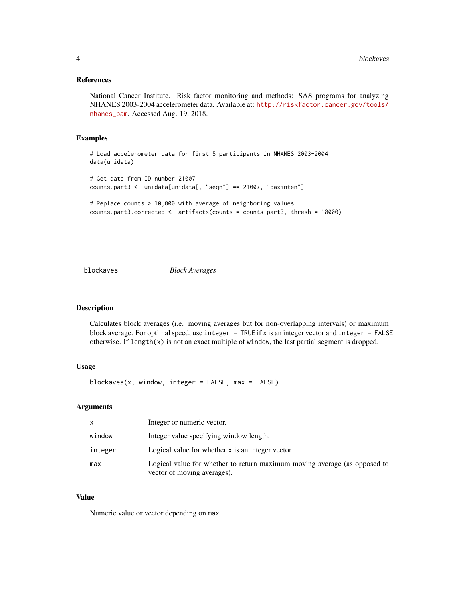#### <span id="page-3-0"></span>References

National Cancer Institute. Risk factor monitoring and methods: SAS programs for analyzing NHANES 2003-2004 accelerometer data. Available at: [http://riskfactor.cancer.gov/tools/](http://riskfactor.cancer.gov/tools/nhanes_pam) [nhanes\\_pam](http://riskfactor.cancer.gov/tools/nhanes_pam). Accessed Aug. 19, 2018.

#### Examples

# Load accelerometer data for first 5 participants in NHANES 2003-2004 data(unidata) # Get data from ID number 21007 counts.part3 <- unidata[unidata[, "seqn"] == 21007, "paxinten"]

```
# Replace counts > 10,000 with average of neighboring values
counts.part3.corrected <- artifacts(counts = counts.part3, thresh = 10000)
```
blockaves *Block Averages*

#### Description

Calculates block averages (i.e. moving averages but for non-overlapping intervals) or maximum block average. For optimal speed, use integer  $=$  TRUE if x is an integer vector and integer  $=$  FALSE otherwise. If  $length(x)$  is not an exact multiple of window, the last partial segment is dropped.

### Usage

blockaves(x, window, integer = FALSE, max = FALSE)

#### Arguments

| $\mathsf{x}$ | Integer or numeric vector.                                                                               |
|--------------|----------------------------------------------------------------------------------------------------------|
| window       | Integer value specifying window length.                                                                  |
| integer      | Logical value for whether x is an integer vector.                                                        |
| max          | Logical value for whether to return maximum moving average (as opposed to<br>vector of moving averages). |

#### Value

Numeric value or vector depending on max.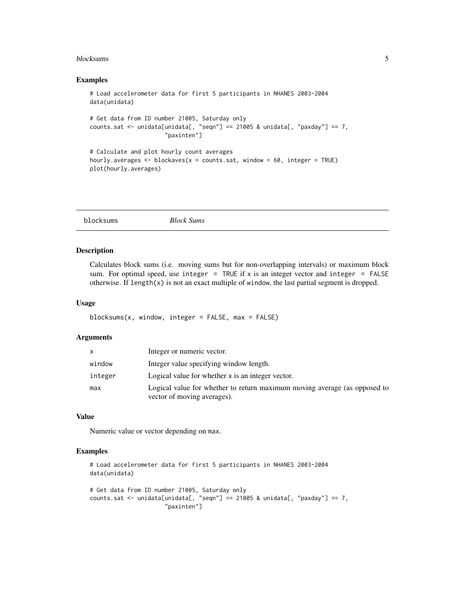#### <span id="page-4-0"></span>blocksums 5

#### Examples

```
# Load accelerometer data for first 5 participants in NHANES 2003-2004
data(unidata)
# Get data from ID number 21005, Saturday only
counts.sat <- unidata[unidata[, "seqn"] == 21005 & unidata[, "paxday"] == 7,
                      "paxinten"]
# Calculate and plot hourly count averages
```

```
hourly.averages \le - blockaves(x = counts.sat, window = 60, integer = TRUE)
plot(hourly.averages)
```

| blocksums | <b>Block Sums</b> |  |  |
|-----------|-------------------|--|--|
|           |                   |  |  |

# Description

Calculates block sums (i.e. moving sums but for non-overlapping intervals) or maximum block sum. For optimal speed, use integer = TRUE if x is an integer vector and integer = FALSE otherwise. If length( $x$ ) is not an exact multiple of window, the last partial segment is dropped.

#### Usage

```
blocksums(x, window, integer = FALSE, max = FALSE)
```
#### Arguments

|         | Integer or numeric vector.                                                                               |
|---------|----------------------------------------------------------------------------------------------------------|
| window  | Integer value specifying window length.                                                                  |
| integer | Logical value for whether x is an integer vector.                                                        |
| max     | Logical value for whether to return maximum moving average (as opposed to<br>vector of moving averages). |

#### Value

Numeric value or vector depending on max.

```
# Load accelerometer data for first 5 participants in NHANES 2003-2004
data(unidata)
# Get data from ID number 21005, Saturday only
```

```
counts.sat <- unidata[unidata[, "seqn"] == 21005 & unidata[, "paxday"] == 7,
                     "paxinten"]
```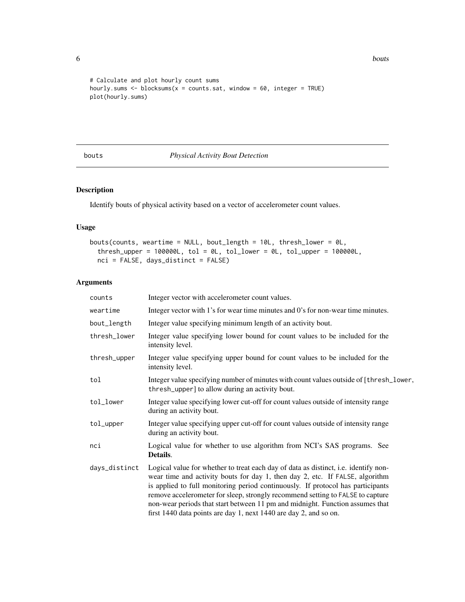**6** bouts and the contract of the contract of the contract of the contract of the contract of the contract of the contract of the contract of the contract of the contract of the contract of the contract of the contract of

```
# Calculate and plot hourly count sums
hourly.sums \leq blocksums(x = counts.sat, window = 60, integer = TRUE)
plot(hourly.sums)
```
bouts *Physical Activity Bout Detection*

# Description

Identify bouts of physical activity based on a vector of accelerometer count values.

# Usage

```
bouts(counts, weartime = NULL, bout_length = 10L, thresh_lower = 0L,
  threshold\_upper = 100000L, tol = 0L, tol\_lower = 0L, tol\_upper = 100000L,
  nci = FALSE, days_distinct = FALSE)
```
# Arguments

| counts        | Integer vector with accelerometer count values.                                                                                                                                                                                                                                                                                                                                                                                                                                                |
|---------------|------------------------------------------------------------------------------------------------------------------------------------------------------------------------------------------------------------------------------------------------------------------------------------------------------------------------------------------------------------------------------------------------------------------------------------------------------------------------------------------------|
| weartime      | Integer vector with 1's for wear time minutes and 0's for non-wear time minutes.                                                                                                                                                                                                                                                                                                                                                                                                               |
| bout_length   | Integer value specifying minimum length of an activity bout.                                                                                                                                                                                                                                                                                                                                                                                                                                   |
| thresh_lower  | Integer value specifying lower bound for count values to be included for the<br>intensity level.                                                                                                                                                                                                                                                                                                                                                                                               |
| thresh_upper  | Integer value specifying upper bound for count values to be included for the<br>intensity level.                                                                                                                                                                                                                                                                                                                                                                                               |
| tol           | Integer value specifying number of minutes with count values outside of [thresh_lower,<br>thresh_upper] to allow during an activity bout.                                                                                                                                                                                                                                                                                                                                                      |
| tol_lower     | Integer value specifying lower cut-off for count values outside of intensity range<br>during an activity bout.                                                                                                                                                                                                                                                                                                                                                                                 |
| tol_upper     | Integer value specifying upper cut-off for count values outside of intensity range<br>during an activity bout.                                                                                                                                                                                                                                                                                                                                                                                 |
| nci           | Logical value for whether to use algorithm from NCI's SAS programs. See<br>Details.                                                                                                                                                                                                                                                                                                                                                                                                            |
| days_distinct | Logical value for whether to treat each day of data as distinct, i.e. identify non-<br>wear time and activity bouts for day 1, then day 2, etc. If FALSE, algorithm<br>is applied to full monitoring period continuously. If protocol has participants<br>remove accelerometer for sleep, strongly recommend setting to FALSE to capture<br>non-wear periods that start between 11 pm and midnight. Function assumes that<br>first 1440 data points are day 1, next 1440 are day 2, and so on. |

<span id="page-5-0"></span>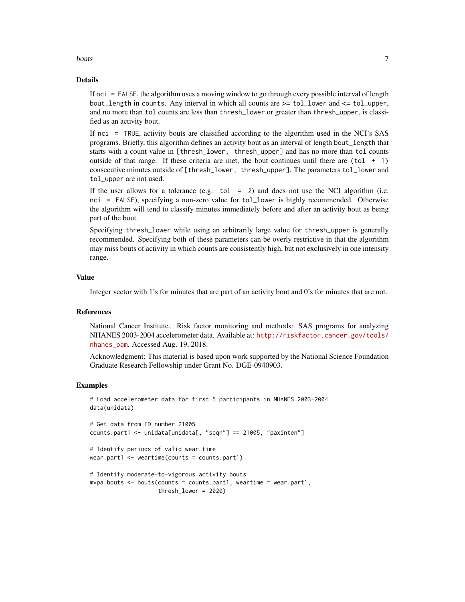#### bouts and the contract of the contract of the contract of the contract of the contract of the contract of the contract of the contract of the contract of the contract of the contract of the contract of the contract of the

#### Details

If nci = FALSE, the algorithm uses a moving window to go through every possible interval of length bout\_length in counts. Any interval in which all counts are >= tol\_lower and <= tol\_upper, and no more than tol counts are less than thresh\_lower or greater than thresh\_upper, is classified as an activity bout.

If nci = TRUE, activity bouts are classified according to the algorithm used in the NCI's SAS programs. Briefly, this algorithm defines an activity bout as an interval of length bout\_length that starts with a count value in [thresh\_lower, thresh\_upper] and has no more than tol counts outside of that range. If these criteria are met, the bout continues until there are  $(tol + 1)$ consecutive minutes outside of [thresh\_lower, thresh\_upper]. The parameters tol\_lower and tol\_upper are not used.

If the user allows for a tolerance (e.g.  $\text{tol} = 2$ ) and does not use the NCI algorithm (i.e. nci = FALSE), specifying a non-zero value for tol\_lower is highly recommended. Otherwise the algorithm will tend to classify minutes immediately before and after an activity bout as being part of the bout.

Specifying thresh\_lower while using an arbitrarily large value for thresh\_upper is generally recommended. Specifying both of these parameters can be overly restrictive in that the algorithm may miss bouts of activity in which counts are consistently high, but not exclusively in one intensity range.

# Value

Integer vector with 1's for minutes that are part of an activity bout and 0's for minutes that are not.

### References

National Cancer Institute. Risk factor monitoring and methods: SAS programs for analyzing NHANES 2003-2004 accelerometer data. Available at: [http://riskfactor.cancer.gov/tools/](http://riskfactor.cancer.gov/tools/nhanes_pam) [nhanes\\_pam](http://riskfactor.cancer.gov/tools/nhanes_pam). Accessed Aug. 19, 2018.

Acknowledgment: This material is based upon work supported by the National Science Foundation Graduate Research Fellowship under Grant No. DGE-0940903.

```
# Load accelerometer data for first 5 participants in NHANES 2003-2004
data(unidata)
# Get data from ID number 21005
counts.part1 <- unidata[unidata[, "seqn"] == 21005, "paxinten"]
# Identify periods of valid wear time
wear.part1 <- weartime(counts = counts.part1)
```

```
# Identify moderate-to-vigorous activity bouts
mvpa.bouts \leq bouts(counts = counts.part1, weartime = wear.part1,
                    thresh_lower = 2020)
```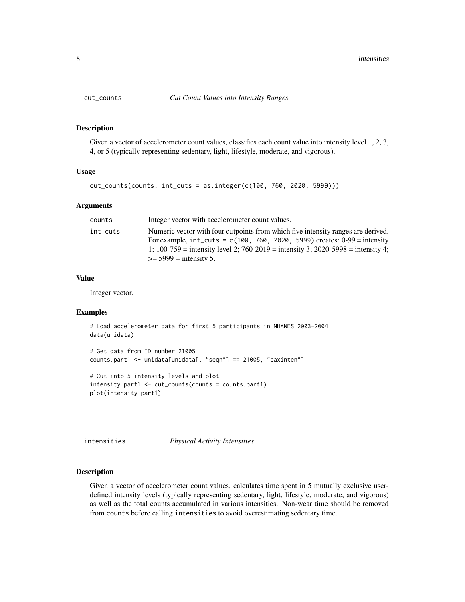<span id="page-7-0"></span>

#### Description

Given a vector of accelerometer count values, classifies each count value into intensity level 1, 2, 3, 4, or 5 (typically representing sedentary, light, lifestyle, moderate, and vigorous).

# Usage

```
cut_counts(counts, int_cuts = as.integer(c(100, 760, 2020, 5999)))
```
#### Arguments

| counts   | Integer vector with accelerometer count values.                                                                                                                                                                                                                                             |
|----------|---------------------------------------------------------------------------------------------------------------------------------------------------------------------------------------------------------------------------------------------------------------------------------------------|
| int_cuts | Numeric vector with four cutpoints from which five intensity ranges are derived.<br>For example, $int_{\text{cuts}} = c(100, 760, 2020, 5999)$ creates: 0-99 = intensity<br>1; 100-759 = intensity level 2; 760-2019 = intensity 3; 2020-5998 = intensity 4;<br>$\ge$ = 5999 = intensity 5. |

#### Value

Integer vector.

### Examples

```
# Load accelerometer data for first 5 participants in NHANES 2003-2004
data(unidata)
# Get data from ID number 21005
counts.part1 <- unidata[unidata[, "seqn"] == 21005, "paxinten"]
```

```
# Cut into 5 intensity levels and plot
intensity.part1 <- cut_counts(counts = counts.part1)
plot(intensity.part1)
```
intensities *Physical Activity Intensities*

#### Description

Given a vector of accelerometer count values, calculates time spent in 5 mutually exclusive userdefined intensity levels (typically representing sedentary, light, lifestyle, moderate, and vigorous) as well as the total counts accumulated in various intensities. Non-wear time should be removed from counts before calling intensities to avoid overestimating sedentary time.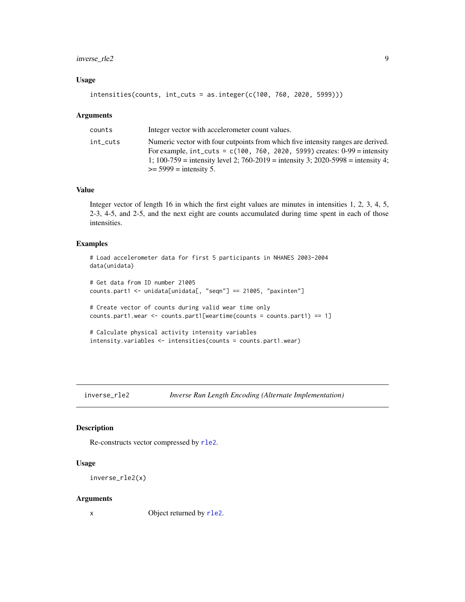# <span id="page-8-0"></span>inverse\_rle2 9

#### Usage

```
intensities(counts, int_cuts = as.integer(c(100, 760, 2020, 5999)))
```
#### Arguments

| counts   | Integer vector with accelerometer count values.                                                                                                                                                                                                                                      |
|----------|--------------------------------------------------------------------------------------------------------------------------------------------------------------------------------------------------------------------------------------------------------------------------------------|
| int_cuts | Numeric vector with four cutpoints from which five intensity ranges are derived.<br>For example, $int_cuts = c(100, 760, 2020, 5999)$ creates: $0-99 =$ intensity<br>1; 100-759 = intensity level 2; 760-2019 = intensity 3; 2020-5998 = intensity 4;<br>$\ge$ = 5999 = intensity 5. |
|          |                                                                                                                                                                                                                                                                                      |

#### Value

Integer vector of length 16 in which the first eight values are minutes in intensities 1, 2, 3, 4, 5, 2-3, 4-5, and 2-5, and the next eight are counts accumulated during time spent in each of those intensities.

# Examples

```
# Load accelerometer data for first 5 participants in NHANES 2003-2004
data(unidata)
# Get data from ID number 21005
counts.part1 <- unidata[unidata[, "seqn"] == 21005, "paxinten"]
# Create vector of counts during valid wear time only
counts.part1.wear <- counts.part1[weartime(counts = counts.part1) == 1]
# Calculate physical activity intensity variables
intensity.variables <- intensities(counts = counts.part1.wear)
```
inverse\_rle2 *Inverse Run Length Encoding (Alternate Implementation)*

#### Description

Re-constructs vector compressed by [rle2](#page-19-1).

#### Usage

```
inverse_rle2(x)
```
#### Arguments

x Object returned by r1e2.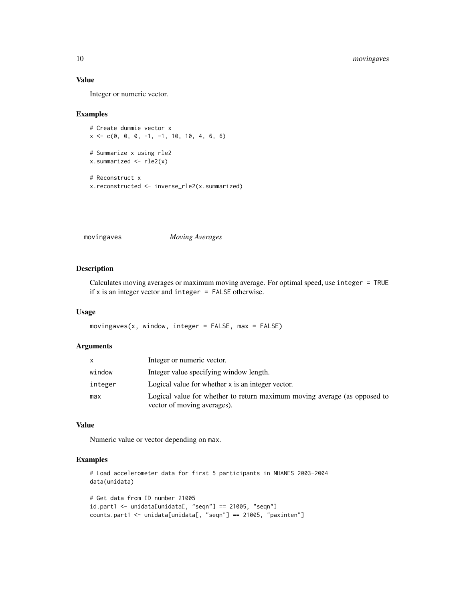#### Value

Integer or numeric vector.

#### Examples

```
# Create dummie vector x
x \leq -c(0, 0, 0, -1, -1, 10, 10, 4, 6, 6)# Summarize x using rle2
x.summarized <- rle2(x)
# Reconstruct x
x.reconstructed <- inverse_rle2(x.summarized)
```
movingaves *Moving Averages*

### Description

Calculates moving averages or maximum moving average. For optimal speed, use integer = TRUE if x is an integer vector and integer = FALSE otherwise.

# Usage

movingaves(x, window, integer = FALSE, max = FALSE)

#### Arguments

| x.      | Integer or numeric vector.                                                                               |
|---------|----------------------------------------------------------------------------------------------------------|
| window  | Integer value specifying window length.                                                                  |
| integer | Logical value for whether x is an integer vector.                                                        |
| max     | Logical value for whether to return maximum moving average (as opposed to<br>vector of moving averages). |

#### Value

Numeric value or vector depending on max.

```
# Load accelerometer data for first 5 participants in NHANES 2003-2004
data(unidata)
```

```
# Get data from ID number 21005
id.path < - unidata[unidata[, "seqn"] == 21005, "seqn"]
counts.part1 <- unidata[unidata[, "seqn"] == 21005, "paxinten"]
```
<span id="page-9-0"></span>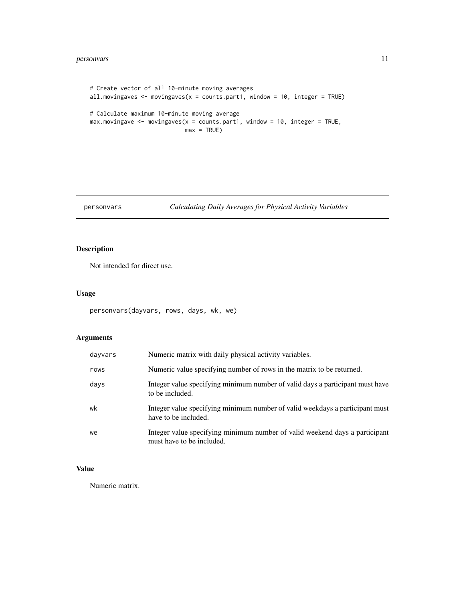# <span id="page-10-0"></span>personvars 11

```
# Create vector of all 10-minute moving averages
all.movingaves <- movingaves(x = counts.part1, window = 10, integer = TRUE)
# Calculate maximum 10-minute moving average
max.movingave < - movingaves(x = counts.part1, window = 10, integer = TRUE,
                            max = TRUE)
```
# personvars *Calculating Daily Averages for Physical Activity Variables*

# Description

Not intended for direct use.

# Usage

```
personvars(dayvars, rows, days, wk, we)
```
# Arguments

| dayvars | Numeric matrix with daily physical activity variables.                                                   |
|---------|----------------------------------------------------------------------------------------------------------|
| rows    | Numeric value specifying number of rows in the matrix to be returned.                                    |
| days    | Integer value specifying minimum number of valid days a participant must have<br>to be included.         |
| wk      | Integer value specifying minimum number of valid weekdays a participant must<br>have to be included.     |
| we      | Integer value specifying minimum number of valid weekend days a participant<br>must have to be included. |

# Value

Numeric matrix.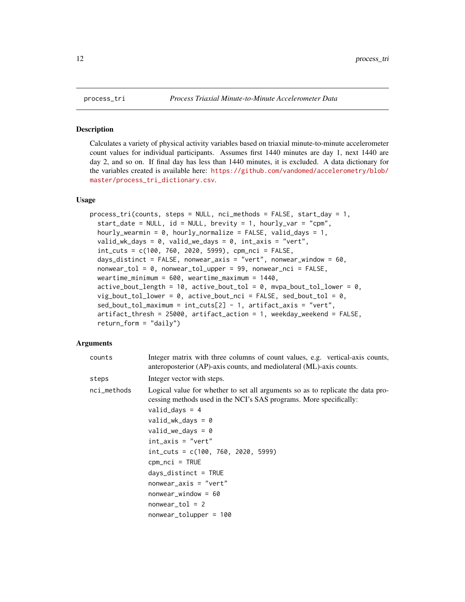#### Description

Calculates a variety of physical activity variables based on triaxial minute-to-minute accelerometer count values for individual participants. Assumes first 1440 minutes are day 1, next 1440 are day 2, and so on. If final day has less than 1440 minutes, it is excluded. A data dictionary for the variables created is available here: [https://github.com/vandomed/accelerometry/blob/](https://github.com/vandomed/accelerometry/blob/master/process_tri_dictionary.csv) [master/process\\_tri\\_dictionary.csv](https://github.com/vandomed/accelerometry/blob/master/process_tri_dictionary.csv).

# Usage

```
process_tri(counts, steps = NULL, nci_methods = FALSE, start_day = 1,
  start_data = NULL, id = NULL, brevity = 1, hourly_var = "cpm",
  hourly_wearmin = 0, hourly_normalize = FALSE, valid_days = 1,
  valid_wk_days = 0, valid_we_days = 0, int_axis = "vert",
  int_cuts = c(100, 760, 2020, 5999), cpm_nci = FALSE,
  days_distinct = FALSE, nonwear_axis = "vert", nonwear_window = 60,
  nonwear_tol = 0, nonwear_tol_upper = 99, nonwear_nci = FALSE,
  weartime_minimum = 600, weartime_maximum = 1440,
  active_bout_length = 10, active_bout_to = 0, mya_bout_to = 0, m, to1 lower = 0,
  vig_bout_tol_lower = 0, active_bout_nci = FALSE, sed_bout_tol = 0,
  sed_bout_tol_maximum = int_cuts[2] - 1, artifact_axis = "vert",
  artifact_thresh = 25000, artifact_action = 1, weekday_weekend = FALSE,
  return_{form} = "daily")
```
#### Arguments

| counts      | Integer matrix with three columns of count values, e.g. vertical-axis counts,<br>anteroposterior (AP)-axis counts, and mediolateral (ML)-axis counts.                                                                                                                                                                                                                                                                                                  |
|-------------|--------------------------------------------------------------------------------------------------------------------------------------------------------------------------------------------------------------------------------------------------------------------------------------------------------------------------------------------------------------------------------------------------------------------------------------------------------|
| steps       | Integer vector with steps.                                                                                                                                                                                                                                                                                                                                                                                                                             |
| nci_methods | Logical value for whether to set all arguments so as to replicate the data pro-<br>cessing methods used in the NCI's SAS programs. More specifically:<br>$valid\_days = 4$<br>$valid_wk_days = 0$<br>$valid\_we\_days = 0$<br>$int\_axis = "vert"$<br>$int_{\text{cuts}} = c(100, 760, 2020, 5999)$<br>$cpm_nci = TRUE$<br>$days\_distinct = TRUE$<br>$nonwear_axis = "vert"$<br>$nonwear_window = 60$<br>$nonwear\_tol = 2$<br>nonwear_tolupper = 100 |
|             |                                                                                                                                                                                                                                                                                                                                                                                                                                                        |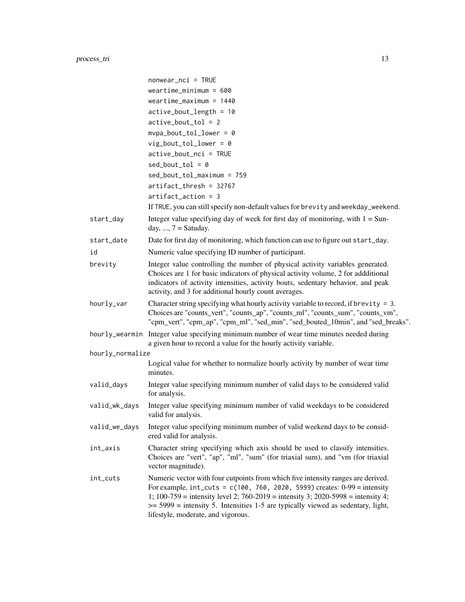|                  | $nonwear_nci = TRUE$                                                                                                                                                                                                                                                                                                                                                                        |
|------------------|---------------------------------------------------------------------------------------------------------------------------------------------------------------------------------------------------------------------------------------------------------------------------------------------------------------------------------------------------------------------------------------------|
|                  | weartime_minimum = $600$                                                                                                                                                                                                                                                                                                                                                                    |
|                  | weartime_maximum = $1440$                                                                                                                                                                                                                                                                                                                                                                   |
|                  | $active\_bout\_length = 10$                                                                                                                                                                                                                                                                                                                                                                 |
|                  | $active\_bout\_tol = 2$                                                                                                                                                                                                                                                                                                                                                                     |
|                  | $mypa\_bout\_tol\_lower = 0$                                                                                                                                                                                                                                                                                                                                                                |
|                  | $vig\_bout\_tol\_lower = 0$                                                                                                                                                                                                                                                                                                                                                                 |
|                  | $active\_bout\_nci = TRUE$                                                                                                                                                                                                                                                                                                                                                                  |
|                  | $sed\_bout\_tol = 0$                                                                                                                                                                                                                                                                                                                                                                        |
|                  | sed_bout_tol_maximum = 759                                                                                                                                                                                                                                                                                                                                                                  |
|                  | $artifact_thresh = 32767$                                                                                                                                                                                                                                                                                                                                                                   |
|                  | $artifact_action = 3$                                                                                                                                                                                                                                                                                                                                                                       |
|                  | If TRUE, you can still specify non-default values for brevity and weekday_weekend.                                                                                                                                                                                                                                                                                                          |
| start_day        | Integer value specifying day of week for first day of monitoring, with $1 =$ Sun-<br>day, , $7 =$ Satuday.                                                                                                                                                                                                                                                                                  |
| start_date       | Date for first day of monitoring, which function can use to figure out start_day.                                                                                                                                                                                                                                                                                                           |
| id               | Numeric value specifying ID number of participant.                                                                                                                                                                                                                                                                                                                                          |
| brevity          | Integer value controlling the number of physical activity variables generated.                                                                                                                                                                                                                                                                                                              |
|                  | Choices are 1 for basic indicators of physical activity volume, 2 for addditional<br>indicators of activity intensities, activity bouts, sedentary behavior, and peak<br>activity, and 3 for additional hourly count averages.                                                                                                                                                              |
| hourly_var       | Character string specifying what hourly activity variable to record, if brevity = $3$ .<br>Choices are "counts_vert", "counts_ap", "counts_ml", "counts_sum", "counts_vm",<br>"cpm_vert", "cpm_ap", "cpm_ml", "sed_min", "sed_bouted_10min", and "sed_breaks".                                                                                                                              |
|                  | hour ly_wearmin Integer value specifying minimum number of wear time minutes needed during<br>a given hour to record a value for the hourly activity variable.                                                                                                                                                                                                                              |
| hourly_normalize |                                                                                                                                                                                                                                                                                                                                                                                             |
|                  | Logical value for whether to normalize hourly activity by number of wear time<br>minutes.                                                                                                                                                                                                                                                                                                   |
| valid_days       | Integer value specifying minimum number of valid days to be considered valid<br>for analysis.                                                                                                                                                                                                                                                                                               |
| valid_wk_days    | Integer value specifying minimum number of valid weekdays to be considered<br>valid for analysis.                                                                                                                                                                                                                                                                                           |
| valid_we_days    | Integer value specifying minimum number of valid weekend days to be consid-<br>ered valid for analysis.                                                                                                                                                                                                                                                                                     |
| int_axis         | Character string specifying which axis should be used to classify intensities.<br>Choices are "vert", "ap", "ml", "sum" (for triaxial sum), and "vm (for triaxial<br>vector magnitude).                                                                                                                                                                                                     |
| int_cuts         | Numeric vector with four cutpoints from which five intensity ranges are derived.<br>For example, $int\_cuts = c(100, 760, 2020, 5999)$ creates: $0-99 =$ intensity<br>1; $100-759$ = intensity level 2; $760-2019$ = intensity 3; $2020-5998$ = intensity 4;<br>$\ge$ = 5999 = intensity 5. Intensities 1-5 are typically viewed as sedentary, light,<br>lifestyle, moderate, and vigorous. |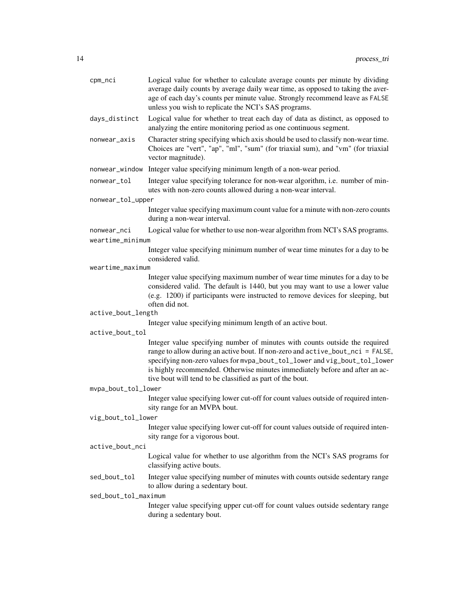| cpm_nci              | Logical value for whether to calculate average counts per minute by dividing<br>average daily counts by average daily wear time, as opposed to taking the aver-<br>age of each day's counts per minute value. Strongly recommend leave as FALSE<br>unless you wish to replicate the NCI's SAS programs.                                                                                 |  |
|----------------------|-----------------------------------------------------------------------------------------------------------------------------------------------------------------------------------------------------------------------------------------------------------------------------------------------------------------------------------------------------------------------------------------|--|
| days_distinct        | Logical value for whether to treat each day of data as distinct, as opposed to<br>analyzing the entire monitoring period as one continuous segment.                                                                                                                                                                                                                                     |  |
| nonwear_axis         | Character string specifying which axis should be used to classify non-wear time.<br>Choices are "vert", "ap", "ml", "sum" (for triaxial sum), and "vm" (for triaxial<br>vector magnitude).                                                                                                                                                                                              |  |
| nonwear_window       | Integer value specifying minimum length of a non-wear period.                                                                                                                                                                                                                                                                                                                           |  |
| nonwear_tol          | Integer value specifying tolerance for non-wear algorithm, i.e. number of min-<br>utes with non-zero counts allowed during a non-wear interval.                                                                                                                                                                                                                                         |  |
| nonwear_tol_upper    |                                                                                                                                                                                                                                                                                                                                                                                         |  |
|                      | Integer value specifying maximum count value for a minute with non-zero counts<br>during a non-wear interval.                                                                                                                                                                                                                                                                           |  |
| nonwear_nci          | Logical value for whether to use non-wear algorithm from NCI's SAS programs.                                                                                                                                                                                                                                                                                                            |  |
| weartime_minimum     |                                                                                                                                                                                                                                                                                                                                                                                         |  |
|                      | Integer value specifying minimum number of wear time minutes for a day to be<br>considered valid.                                                                                                                                                                                                                                                                                       |  |
| weartime_maximum     |                                                                                                                                                                                                                                                                                                                                                                                         |  |
|                      | Integer value specifying maximum number of wear time minutes for a day to be<br>considered valid. The default is 1440, but you may want to use a lower value<br>(e.g. 1200) if participants were instructed to remove devices for sleeping, but<br>often did not.                                                                                                                       |  |
| active_bout_length   |                                                                                                                                                                                                                                                                                                                                                                                         |  |
| active_bout_tol      | Integer value specifying minimum length of an active bout.                                                                                                                                                                                                                                                                                                                              |  |
|                      | Integer value specifying number of minutes with counts outside the required<br>range to allow during an active bout. If non-zero and active_bout_nci = FALSE,<br>specifying non-zero values for mvpa_bout_tol_lower and vig_bout_tol_lower<br>is highly recommended. Otherwise minutes immediately before and after an ac-<br>tive bout will tend to be classified as part of the bout. |  |
| mvpa_bout_tol_lower  |                                                                                                                                                                                                                                                                                                                                                                                         |  |
|                      | Integer value specifying lower cut-off for count values outside of required inten-<br>sity range for an MVPA bout.                                                                                                                                                                                                                                                                      |  |
| vig_bout_tol_lower   |                                                                                                                                                                                                                                                                                                                                                                                         |  |
|                      | Integer value specifying lower cut-off for count values outside of required inten-<br>sity range for a vigorous bout.                                                                                                                                                                                                                                                                   |  |
| active_bout_nci      |                                                                                                                                                                                                                                                                                                                                                                                         |  |
|                      | Logical value for whether to use algorithm from the NCI's SAS programs for<br>classifying active bouts.                                                                                                                                                                                                                                                                                 |  |
| sed_bout_tol         | Integer value specifying number of minutes with counts outside sedentary range<br>to allow during a sedentary bout.                                                                                                                                                                                                                                                                     |  |
| sed_bout_tol_maximum |                                                                                                                                                                                                                                                                                                                                                                                         |  |
|                      | Integer value specifying upper cut-off for count values outside sedentary range<br>during a sedentary bout.                                                                                                                                                                                                                                                                             |  |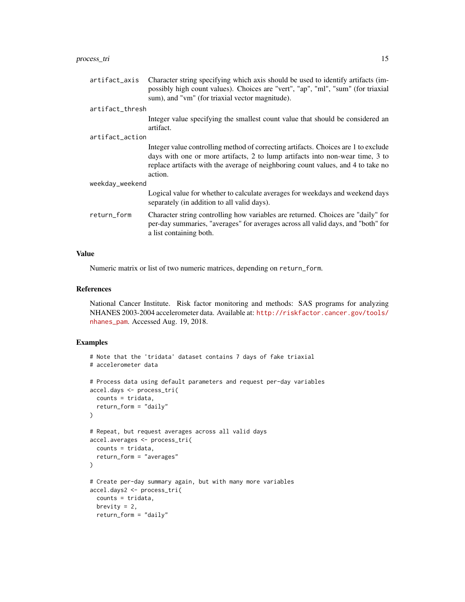#### process\_tri 15

artifact\_axis Character string specifying which axis should be used to identify artifacts (impossibly high count values). Choices are "vert", "ap", "ml", "sum" (for triaxial sum), and "vm" (for triaxial vector magnitude).

#### artifact\_thresh

Integer value specifying the smallest count value that should be considered an artifact.

artifact\_action

Integer value controlling method of correcting artifacts. Choices are 1 to exclude days with one or more artifacts, 2 to lump artifacts into non-wear time, 3 to replace artifacts with the average of neighboring count values, and 4 to take no action.

weekday\_weekend

Logical value for whether to calculate averages for weekdays and weekend days separately (in addition to all valid days).

return\_form Character string controlling how variables are returned. Choices are "daily" for per-day summaries, "averages" for averages across all valid days, and "both" for a list containing both.

#### Value

Numeric matrix or list of two numeric matrices, depending on return\_form.

### References

National Cancer Institute. Risk factor monitoring and methods: SAS programs for analyzing NHANES 2003-2004 accelerometer data. Available at: [http://riskfactor.cancer.gov/tools/](http://riskfactor.cancer.gov/tools/nhanes_pam) [nhanes\\_pam](http://riskfactor.cancer.gov/tools/nhanes_pam). Accessed Aug. 19, 2018.

```
# Note that the 'tridata' dataset contains 7 days of fake triaxial
# accelerometer data
# Process data using default parameters and request per-day variables
accel.days <- process_tri(
 counts = tridata,
 return_form = "daily"
)
# Repeat, but request averages across all valid days
accel.averages <- process_tri(
 counts = tridata,
 return_form = "averages"
\lambda# Create per-day summary again, but with many more variables
accel.days2 <- process_tri(
 counts = tridata,
 brevity = 2,
 return_form = "daily"
```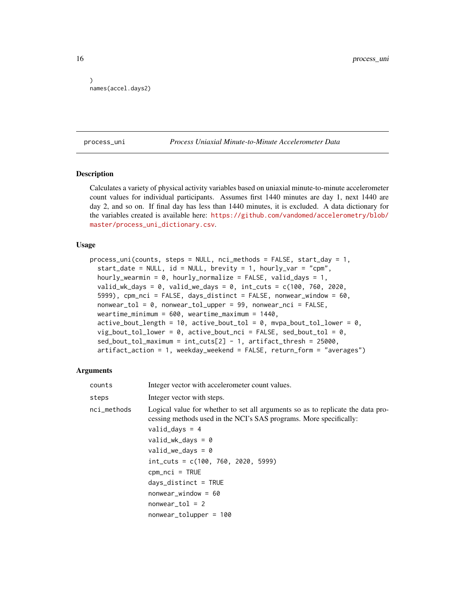```
)
names(accel.days2)
```
#### process\_uni *Process Uniaxial Minute-to-Minute Accelerometer Data*

### Description

Calculates a variety of physical activity variables based on uniaxial minute-to-minute accelerometer count values for individual participants. Assumes first 1440 minutes are day 1, next 1440 are day 2, and so on. If final day has less than 1440 minutes, it is excluded. A data dictionary for the variables created is available here: [https://github.com/vandomed/accelerometry/blob/](https://github.com/vandomed/accelerometry/blob/master/process_uni_dictionary.csv) [master/process\\_uni\\_dictionary.csv](https://github.com/vandomed/accelerometry/blob/master/process_uni_dictionary.csv).

#### Usage

```
process_uni(counts, steps = NULL, nci_methods = FALSE, start_day = 1,
  start_date = NULL, id = NULL, brevity = 1, hourly_var = "cpm",
  hourly_wearmin = 0, hourly_normalize = FALSE, valid_days = 1,
  valid_wk_days = 0, valid_we_days = 0, int_cuts = c(100, 760, 2020,5999), cpm_nci = FALSE, days_distinct = FALSE, nonwear_window = 60,
  nonwear_tol = 0, nonwear_tol_upper = 99, nonwear_nci = FALSE,
  weartime_minimum = 600, weartime_maximum = 1440,
  active_bout_length = 10, active_bout_to = 0, mya_bout_to = 0, active_bout_tol = 0, are not all 0, active
  vig_bout_tol_lower = 0, active_bout_nci = FALSE, sed_bout_tol = 0,
  sed_bout_tol_maximum = int_cuts[2] - 1, artifact_thresh = 25000,
  artifact_action = 1, weekday_weekend = FALSE, return_form = "averages")
```
#### Arguments

| counts      | Integer vector with accelerometer count values.                                                                                                       |
|-------------|-------------------------------------------------------------------------------------------------------------------------------------------------------|
| steps       | Integer vector with steps.                                                                                                                            |
| nci_methods | Logical value for whether to set all arguments so as to replicate the data pro-<br>cessing methods used in the NCI's SAS programs. More specifically: |
|             | valid_days = $4$                                                                                                                                      |
|             | $valid_wk_days = 0$                                                                                                                                   |
|             | $valid\_we\_days = 0$                                                                                                                                 |
|             | $int\_cuts = c(100, 760, 2020, 5999)$                                                                                                                 |
|             | $cpm_nci = TRUE$                                                                                                                                      |
|             | $days\_distinct = TRUE$                                                                                                                               |
|             | $nonwear_window = 60$                                                                                                                                 |
|             | $nonwear\_tol = 2$                                                                                                                                    |
|             | $nonwear\_tolupper = 100$                                                                                                                             |

<span id="page-15-0"></span>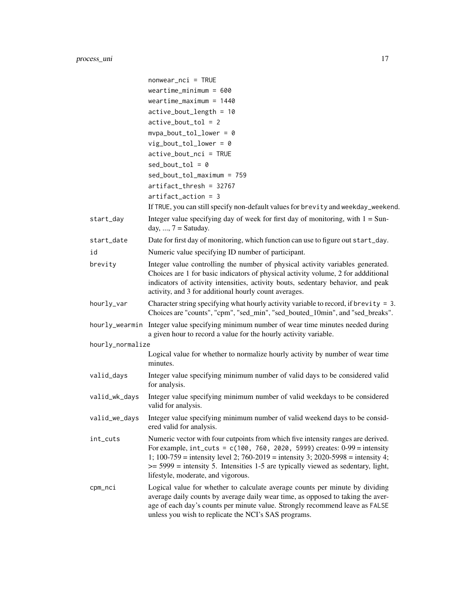|                  | $nonwear_nci = TRUE$                                                                                                                                                                                                                                                                                                                                                                  |
|------------------|---------------------------------------------------------------------------------------------------------------------------------------------------------------------------------------------------------------------------------------------------------------------------------------------------------------------------------------------------------------------------------------|
|                  | weartime minimum = $600$                                                                                                                                                                                                                                                                                                                                                              |
|                  | weartime_maximum = $1440$                                                                                                                                                                                                                                                                                                                                                             |
|                  | $active\_bout\_length = 10$                                                                                                                                                                                                                                                                                                                                                           |
|                  | $active\_bout\_tol = 2$                                                                                                                                                                                                                                                                                                                                                               |
|                  | $mypa\_bout\_tol\_lower = 0$                                                                                                                                                                                                                                                                                                                                                          |
|                  | $vig\_bout\_tol\_lower = 0$                                                                                                                                                                                                                                                                                                                                                           |
|                  | $active\_bout\_nci = TRUE$                                                                                                                                                                                                                                                                                                                                                            |
|                  | $sed\_bout\_tol = 0$                                                                                                                                                                                                                                                                                                                                                                  |
|                  | sed_bout_tol_maximum = 759                                                                                                                                                                                                                                                                                                                                                            |
|                  | $artifact_thresh = 32767$                                                                                                                                                                                                                                                                                                                                                             |
|                  | $artifact_action = 3$                                                                                                                                                                                                                                                                                                                                                                 |
|                  | If TRUE, you can still specify non-default values for brevity and weekday_weekend.                                                                                                                                                                                                                                                                                                    |
| start_day        | Integer value specifying day of week for first day of monitoring, with $1 =$ Sun-<br>day, , $7 =$ Satuday.                                                                                                                                                                                                                                                                            |
| start_date       | Date for first day of monitoring, which function can use to figure out start_day.                                                                                                                                                                                                                                                                                                     |
| id               | Numeric value specifying ID number of participant.                                                                                                                                                                                                                                                                                                                                    |
| brevity          | Integer value controlling the number of physical activity variables generated.                                                                                                                                                                                                                                                                                                        |
|                  | Choices are 1 for basic indicators of physical activity volume, 2 for addditional<br>indicators of activity intensities, activity bouts, sedentary behavior, and peak<br>activity, and 3 for additional hourly count averages.                                                                                                                                                        |
| hourly_var       | Character string specifying what hourly activity variable to record, if brevity = $3$ .<br>Choices are "counts", "cpm", "sed_min", "sed_bouted_10min", and "sed_breaks".                                                                                                                                                                                                              |
|                  | hourly_wearmin Integer value specifying minimum number of wear time minutes needed during<br>a given hour to record a value for the hourly activity variable.                                                                                                                                                                                                                         |
| hourly_normalize |                                                                                                                                                                                                                                                                                                                                                                                       |
|                  | Logical value for whether to normalize hourly activity by number of wear time<br>minutes.                                                                                                                                                                                                                                                                                             |
| valid_days       | Integer value specifying minimum number of valid days to be considered valid<br>for analysis.                                                                                                                                                                                                                                                                                         |
| valid_wk_days    | Integer value specifying minimum number of valid weekdays to be considered<br>valid for analysis.                                                                                                                                                                                                                                                                                     |
| valid_we_days    | Integer value specifying minimum number of valid weekend days to be consid-<br>ered valid for analysis.                                                                                                                                                                                                                                                                               |
| int_cuts         | Numeric vector with four cutpoints from which five intensity ranges are derived.<br>For example, $int\_cuts = c(100, 760, 2020, 5999)$ creates: $0-99 =$ intensity<br>1; 100-759 = intensity level 2; 760-2019 = intensity 3; 2020-5998 = intensity 4;<br>$\ge$ = 5999 = intensity 5. Intensities 1-5 are typically viewed as sedentary, light,<br>lifestyle, moderate, and vigorous. |
| cpm_nci          | Logical value for whether to calculate average counts per minute by dividing<br>average daily counts by average daily wear time, as opposed to taking the aver-<br>age of each day's counts per minute value. Strongly recommend leave as FALSE<br>unless you wish to replicate the NCI's SAS programs.                                                                               |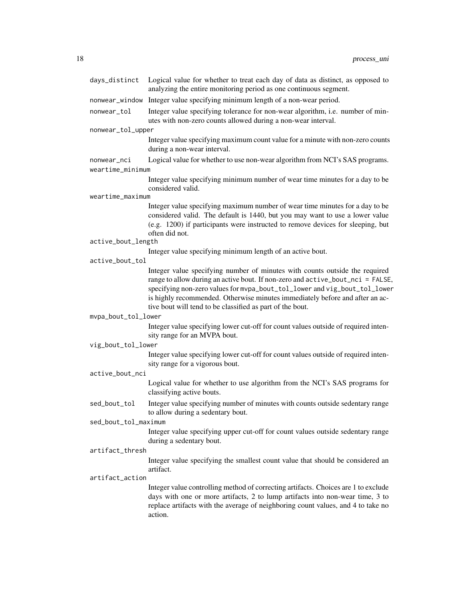| days_distinct        | Logical value for whether to treat each day of data as distinct, as opposed to<br>analyzing the entire monitoring period as one continuous segment.                                                                                                                                                                                                                                     |
|----------------------|-----------------------------------------------------------------------------------------------------------------------------------------------------------------------------------------------------------------------------------------------------------------------------------------------------------------------------------------------------------------------------------------|
| nonwear_window       | Integer value specifying minimum length of a non-wear period.                                                                                                                                                                                                                                                                                                                           |
| nonwear_tol          | Integer value specifying tolerance for non-wear algorithm, i.e. number of min-<br>utes with non-zero counts allowed during a non-wear interval.                                                                                                                                                                                                                                         |
| nonwear_tol_upper    |                                                                                                                                                                                                                                                                                                                                                                                         |
|                      | Integer value specifying maximum count value for a minute with non-zero counts<br>during a non-wear interval.                                                                                                                                                                                                                                                                           |
| nonwear_nci          | Logical value for whether to use non-wear algorithm from NCI's SAS programs.                                                                                                                                                                                                                                                                                                            |
| weartime_minimum     |                                                                                                                                                                                                                                                                                                                                                                                         |
|                      | Integer value specifying minimum number of wear time minutes for a day to be<br>considered valid.                                                                                                                                                                                                                                                                                       |
| weartime_maximum     |                                                                                                                                                                                                                                                                                                                                                                                         |
|                      | Integer value specifying maximum number of wear time minutes for a day to be<br>considered valid. The default is 1440, but you may want to use a lower value<br>(e.g. 1200) if participants were instructed to remove devices for sleeping, but<br>often did not.                                                                                                                       |
| active_bout_length   |                                                                                                                                                                                                                                                                                                                                                                                         |
|                      | Integer value specifying minimum length of an active bout.                                                                                                                                                                                                                                                                                                                              |
| active_bout_tol      |                                                                                                                                                                                                                                                                                                                                                                                         |
|                      | Integer value specifying number of minutes with counts outside the required<br>range to allow during an active bout. If non-zero and active_bout_nci = FALSE,<br>specifying non-zero values for mvpa_bout_tol_lower and vig_bout_tol_lower<br>is highly recommended. Otherwise minutes immediately before and after an ac-<br>tive bout will tend to be classified as part of the bout. |
| mvpa_bout_tol_lower  |                                                                                                                                                                                                                                                                                                                                                                                         |
|                      | Integer value specifying lower cut-off for count values outside of required inten-<br>sity range for an MVPA bout.                                                                                                                                                                                                                                                                      |
| vig_bout_tol_lower   |                                                                                                                                                                                                                                                                                                                                                                                         |
|                      | Integer value specifying lower cut-off for count values outside of required inten-<br>sity range for a vigorous bout.                                                                                                                                                                                                                                                                   |
| active_bout_nci      |                                                                                                                                                                                                                                                                                                                                                                                         |
|                      | Logical value for whether to use algorithm from the NCI's SAS programs for<br>classifying active bouts.                                                                                                                                                                                                                                                                                 |
| sed_bout_tol         | Integer value specifying number of minutes with counts outside sedentary range<br>to allow during a sedentary bout.                                                                                                                                                                                                                                                                     |
| sed_bout_tol_maximum |                                                                                                                                                                                                                                                                                                                                                                                         |
|                      | Integer value specifying upper cut-off for count values outside sedentary range<br>during a sedentary bout.                                                                                                                                                                                                                                                                             |
| artifact_thresh      |                                                                                                                                                                                                                                                                                                                                                                                         |
|                      | Integer value specifying the smallest count value that should be considered an<br>artifact.                                                                                                                                                                                                                                                                                             |
| artifact_action      |                                                                                                                                                                                                                                                                                                                                                                                         |
|                      | Integer value controlling method of correcting artifacts. Choices are 1 to exclude<br>days with one or more artifacts, 2 to lump artifacts into non-wear time, 3 to<br>replace artifacts with the average of neighboring count values, and 4 to take no<br>action.                                                                                                                      |
|                      |                                                                                                                                                                                                                                                                                                                                                                                         |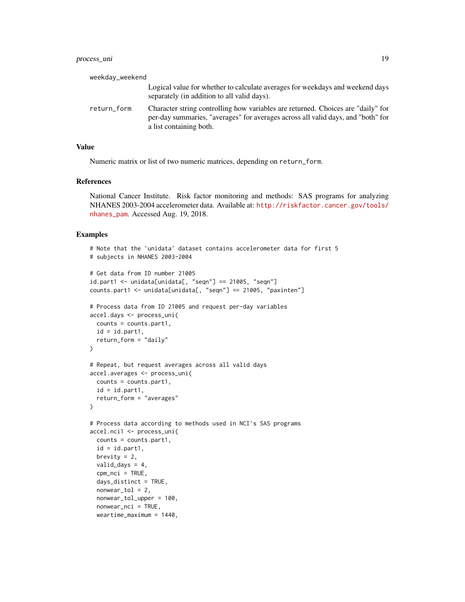| weekday_weekend |                                                                                                                                                                                                 |
|-----------------|-------------------------------------------------------------------------------------------------------------------------------------------------------------------------------------------------|
|                 | Logical value for whether to calculate averages for weekdays and weekend days<br>separately (in addition to all valid days).                                                                    |
| return_form     | Character string controlling how variables are returned. Choices are "daily" for<br>per-day summaries, "averages" for averages across all valid days, and "both" for<br>a list containing both. |

# Value

Numeric matrix or list of two numeric matrices, depending on return\_form.

# References

National Cancer Institute. Risk factor monitoring and methods: SAS programs for analyzing NHANES 2003-2004 accelerometer data. Available at: [http://riskfactor.cancer.gov/tools/](http://riskfactor.cancer.gov/tools/nhanes_pam) [nhanes\\_pam](http://riskfactor.cancer.gov/tools/nhanes_pam). Accessed Aug. 19, 2018.

```
# Note that the 'unidata' dataset contains accelerometer data for first 5
# subjects in NHANES 2003-2004
# Get data from ID number 21005
id.part1 <- unidata[unidata[, "seqn"] == 21005, "seqn"]
counts.part1 <- unidata[unidata[, "seqn"] == 21005, "paxinten"]
# Process data from ID 21005 and request per-day variables
accel.days <- process_uni(
 counts = counts.part1,
  id = id.pathreturn_form = "daily"
\lambda# Repeat, but request averages across all valid days
accel.averages <- process_uni(
  counts = counts.part1,
  id = id.pathreturn_form = "averages"
)
# Process data according to methods used in NCI's SAS programs
accel.nci1 <- process_uni(
  counts = counts.part1,
  id = id.part1,brevity = 2,
  valid_days = 4,
  cpm_nci = TRUE,
  days_distinct = TRUE,
  nonwear\_tol = 2,
  nonwear_tol_upper = 100,
  nonwear_nci = TRUE,
  weartime_maximum = 1440,
```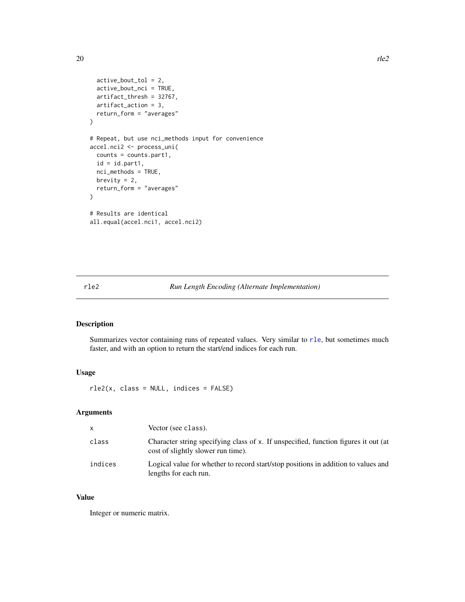```
active_bout_tol = 2,
  active_bout_nci = TRUE,
  artifact_thresh = 32767,
  artifact_action = 3,
  return_form = "averages"
)
# Repeat, but use nci_methods input for convenience
accel.nci2 <- process_uni(
  counts = counts.part1,
  id = id.pathnci_methods = TRUE,
  brevity = 2,
  return_form = "averages"
\mathcal{L}# Results are identical
all.equal(accel.nci1, accel.nci2)
```
# <span id="page-19-1"></span>rle2 *Run Length Encoding (Alternate Implementation)*

# Description

Summarizes vector containing runs of repeated values. Very similar to [rle](#page-0-0), but sometimes much faster, and with an option to return the start/end indices for each run.

# Usage

rle2(x, class = NULL, indices = FALSE)

# Arguments

| X       | Vector (see class).                                                                                                       |
|---------|---------------------------------------------------------------------------------------------------------------------------|
| class   | Character string specifying class of x. If unspecified, function figures it out (at<br>cost of slightly slower run time). |
| indices | Logical value for whether to record start/stop positions in addition to values and<br>lengths for each run.               |

# Value

Integer or numeric matrix.

<span id="page-19-0"></span>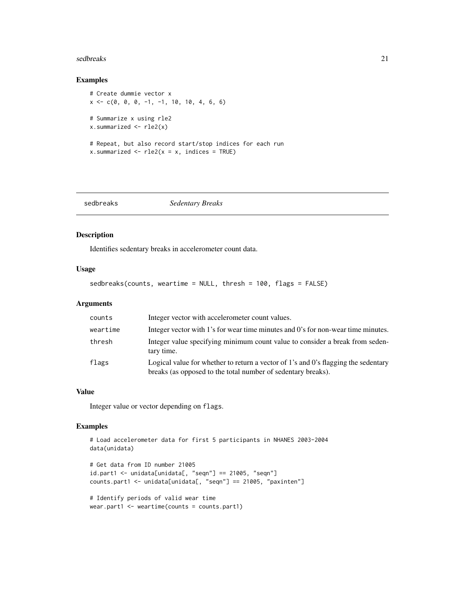#### <span id="page-20-0"></span>sedbreaks 21

# Examples

```
# Create dummie vector x
x \leq -c(0, 0, 0, -1, -1, 10, 10, 4, 6, 6)# Summarize x using rle2
x.summarized \leq rle2(x)
# Repeat, but also record start/stop indices for each run
x.summarized \leq rle2(x = x, indices = TRUE)
```

|--|--|

# Description

Identifies sedentary breaks in accelerometer count data.

#### Usage

```
sedbreaks(counts, weartime = NULL, thresh = 100, flags = FALSE)
```
# Arguments

| counts   | Integer vector with accelerometer count values.                                                                                                    |
|----------|----------------------------------------------------------------------------------------------------------------------------------------------------|
| weartime | Integer vector with 1's for wear time minutes and 0's for non-wear time minutes.                                                                   |
| thresh   | Integer value specifying minimum count value to consider a break from seden-<br>tary time.                                                         |
| flags    | Logical value for whether to return a vector of 1's and 0's flagging the sedentary<br>breaks (as opposed to the total number of sedentary breaks). |

# Value

Integer value or vector depending on flags.

```
# Load accelerometer data for first 5 participants in NHANES 2003-2004
data(unidata)
```

```
# Get data from ID number 21005
id.part1 <- unidata[unidata[, "seqn"] == 21005, "seqn"]
counts.part1 <- unidata[unidata[, "seqn"] == 21005, "paxinten"]
```

```
# Identify periods of valid wear time
wear.part1 <- weartime(counts = counts.part1)
```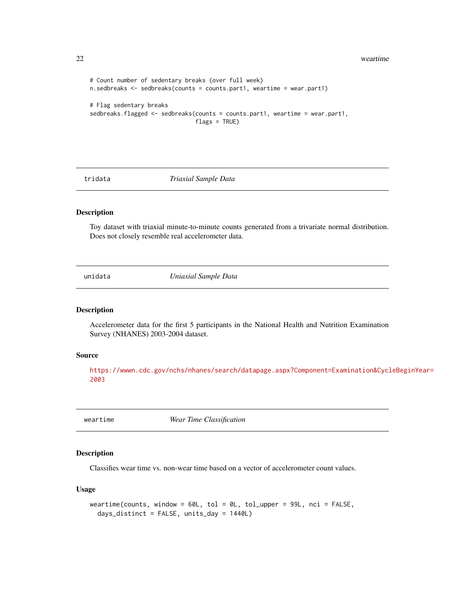<span id="page-21-0"></span>22 weartime

```
# Count number of sedentary breaks (over full week)
n.sedbreaks <- sedbreaks(counts = counts.part1, weartime = wear.part1)
# Flag sedentary breaks
sedbreaks.flagged <- sedbreaks(counts = counts.part1, weartime = wear.part1,
                               flags = TRUE)
```
tridata *Triaxial Sample Data*

# Description

Toy dataset with triaxial minute-to-minute counts generated from a trivariate normal distribution. Does not closely resemble real accelerometer data.

unidata *Uniaxial Sample Data*

# Description

Accelerometer data for the first 5 participants in the National Health and Nutrition Examination Survey (NHANES) 2003-2004 dataset.

# Source

[https://wwwn.cdc.gov/nchs/nhanes/search/datapage.aspx?Component=Examination&Cycl](https://wwwn.cdc.gov/nchs/nhanes/search/datapage.aspx?Component=Examination&CycleBeginYear=2003)eBeginYear= [2003](https://wwwn.cdc.gov/nchs/nhanes/search/datapage.aspx?Component=Examination&CycleBeginYear=2003)

weartime *Wear Time Classification*

#### Description

Classifies wear time vs. non-wear time based on a vector of accelerometer count values.

#### Usage

```
weartime(counts, window = 60L, tol = 0L, tol_upper = 99L, nci = FALSE,
 days_distinct = FALSE, units_day = 1440L)
```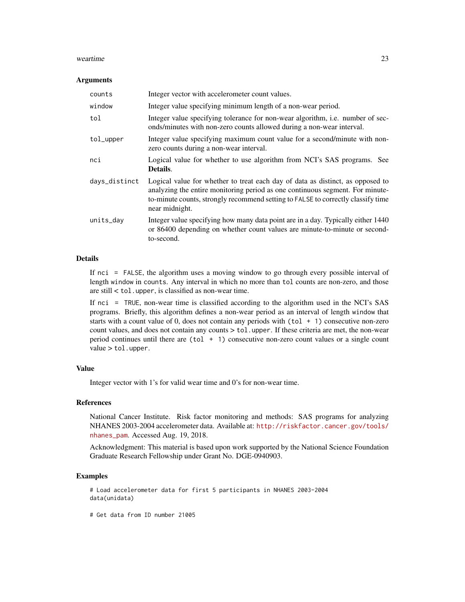#### weartime 23

#### **Arguments**

| counts        | Integer vector with accelerometer count values.                                                                                                                                                                                                                       |
|---------------|-----------------------------------------------------------------------------------------------------------------------------------------------------------------------------------------------------------------------------------------------------------------------|
| window        | Integer value specifying minimum length of a non-wear period.                                                                                                                                                                                                         |
| tol           | Integer value specifying tolerance for non-wear algorithm, i.e. number of sec-<br>onds/minutes with non-zero counts allowed during a non-wear interval.                                                                                                               |
| tol_upper     | Integer value specifying maximum count value for a second/minute with non-<br>zero counts during a non-wear interval.                                                                                                                                                 |
| nci           | Logical value for whether to use algorithm from NCI's SAS programs. See<br>Details.                                                                                                                                                                                   |
| days_distinct | Logical value for whether to treat each day of data as distinct, as opposed to<br>analyzing the entire monitoring period as one continuous segment. For minute-<br>to-minute counts, strongly recommend setting to FALSE to correctly classify time<br>near midnight. |
| units_day     | Integer value specifying how many data point are in a day. Typically either 1440<br>or 86400 depending on whether count values are minute-to-minute or second-<br>to-second.                                                                                          |

#### Details

If nci = FALSE, the algorithm uses a moving window to go through every possible interval of length window in counts. Any interval in which no more than tol counts are non-zero, and those are still < tol.upper, is classified as non-wear time.

If nci = TRUE, non-wear time is classified according to the algorithm used in the NCI's SAS programs. Briefly, this algorithm defines a non-wear period as an interval of length window that starts with a count value of 0, does not contain any periods with  $(tol + 1)$  consecutive non-zero count values, and does not contain any counts > tol.upper. If these criteria are met, the non-wear period continues until there are  $(tol + 1)$  consecutive non-zero count values or a single count value > tol.upper.

# Value

Integer vector with 1's for valid wear time and 0's for non-wear time.

#### References

National Cancer Institute. Risk factor monitoring and methods: SAS programs for analyzing NHANES 2003-2004 accelerometer data. Available at: [http://riskfactor.cancer.gov/tools/](http://riskfactor.cancer.gov/tools/nhanes_pam) [nhanes\\_pam](http://riskfactor.cancer.gov/tools/nhanes_pam). Accessed Aug. 19, 2018.

Acknowledgment: This material is based upon work supported by the National Science Foundation Graduate Research Fellowship under Grant No. DGE-0940903.

#### Examples

```
# Load accelerometer data for first 5 participants in NHANES 2003-2004
data(unidata)
```
# Get data from ID number 21005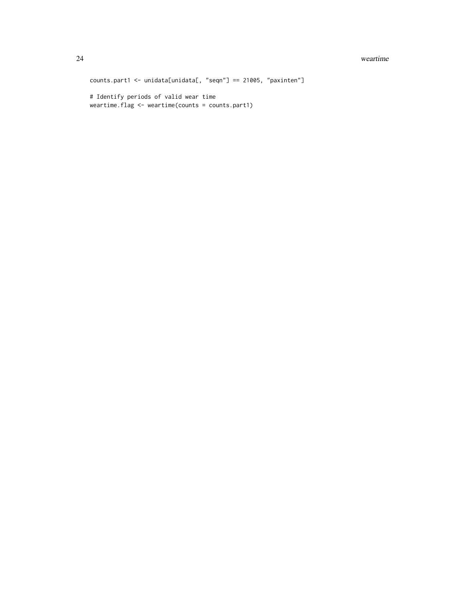#### 24 weartime

counts.part1 <- unidata[unidata[, "seqn"] == 21005, "paxinten"] # Identify periods of valid wear time

weartime.flag <- weartime(counts = counts.part1)